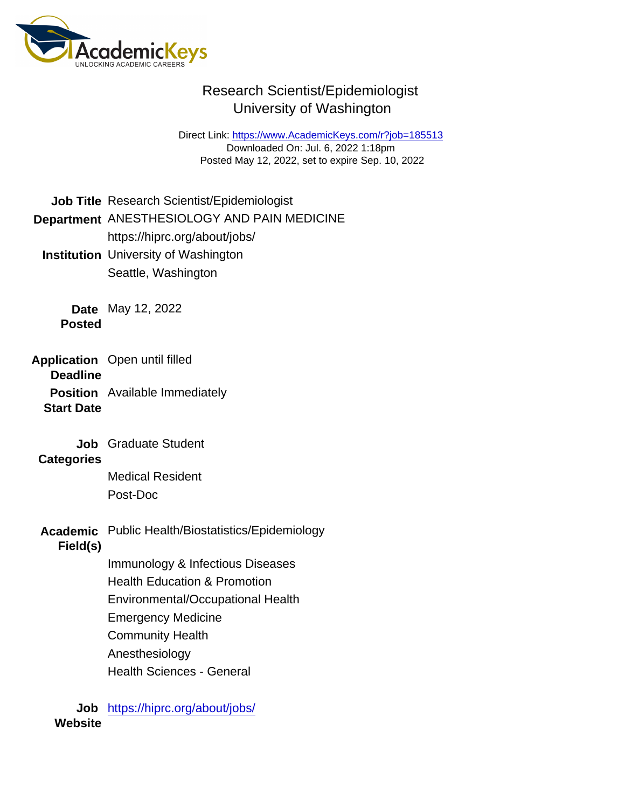## Research Scientist/Epidemiologist University of Washington

Direct Link: <https://www.AcademicKeys.com/r?job=185513> Downloaded On: Jul. 6, 2022 1:18pm Posted May 12, 2022, set to expire Sep. 10, 2022

Job Title Research Scientist/Epidemiologist

### Department ANESTHESIOLOGY AND PAIN MEDICINE https://hiprc.org/about/jobs/

Institution University of Washington Seattle, Washington

Date May 12, 2022 Posted

- Application **Deadline** Open until filled
	- Position Available Immediately
	- Start Date
		- Job Graduate Student

**Categories** 

Medical Resident Post-Doc

Academic Public Health/Biostatistics/Epidemiology

Field(s)

- Immunology & Infectious Diseases
- Health Education & Promotion
- Environmental/Occupational Health
- Emergency Medicine
- Community Health
- Anesthesiology
- Health Sciences General

Job <https://hiprc.org/about/jobs/> **Website**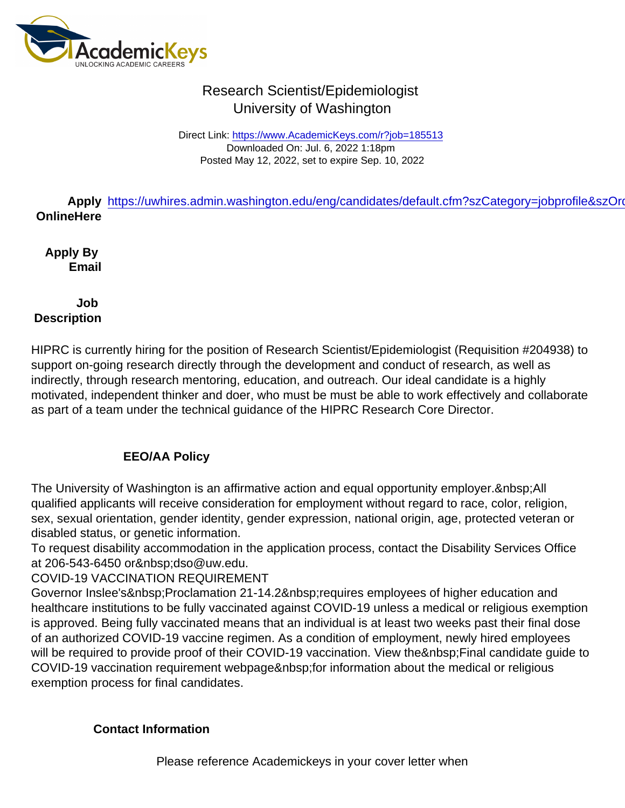# Research Scientist/Epidemiologist University of Washington

Direct Link: <https://www.AcademicKeys.com/r?job=185513> Downloaded On: Jul. 6, 2022 1:18pm Posted May 12, 2022, set to expire Sep. 10, 2022

Apply https://uwhires.admin.washington.edu/eng/candidates/default.cfm?szCategory=jobprofile&szOrd Online Here

Apply By Email

Job **Description** 

HIPRC is currently hiring for the position of Research Scientist/Epidemiologist (Requisition #204938) to support on-going research directly through the development and conduct of research, as well as indirectly, through research mentoring, education, and outreach. Our ideal candidate is a highly motivated, independent thinker and doer, who must be must be able to work effectively and collaborate as part of a team under the technical guidance of the HIPRC Research Core Director.

## EEO/AA Policy

The University of Washington is an affirmative action and equal opportunity employer. All qualified applicants will receive consideration for employment without regard to race, color, religion, sex, sexual orientation, gender identity, gender expression, national origin, age, protected veteran or disabled status, or genetic information.

To request disability accommodation in the application process, contact the Disability Services Office at 206-543-6450 or dso@uw.edu.

COVID-19 VACCINATION REQUIREMENT

Governor Inslee's Proclamation 21-14.2 requires employees of higher education and healthcare institutions to be fully vaccinated against COVID-19 unless a medical or religious exemption is approved. Being fully vaccinated means that an individual is at least two weeks past their final dose of an authorized COVID-19 vaccine regimen. As a condition of employment, newly hired employees will be required to provide proof of their COVID-19 vaccination. View the Final candidate quide to COVID-19 vaccination requirement webpage for information about the medical or religious exemption process for final candidates.

Contact Information